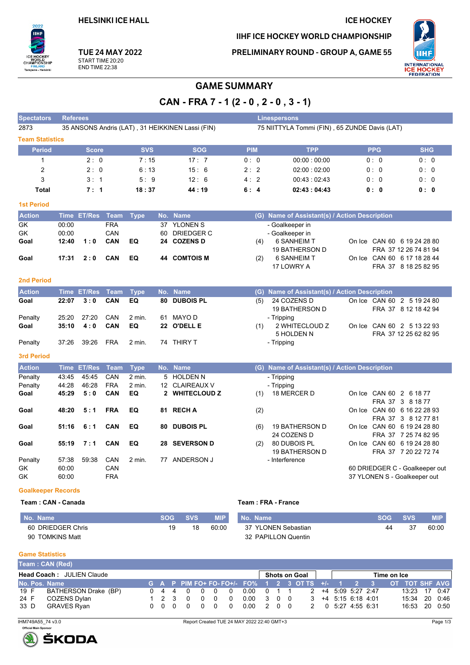**HELSINKI ICE HALL** 

 $2022$ πн

Tampere - Helsinki

,<br>SHIP

CHAM

# **ICE HOCKEY**

IIHF ICE HOCKEY WORLD CHAMPIONSHIP

**TUE 24 MAY 2022** START TIME 20:20 **END TIME 22:38** 

PRELIMINARY ROUND - GROUP A, GAME 55



### **GAME SUMMARY**

CAN - FRA 7 - 1 (2 - 0, 2 - 0, 3 - 1)

| <b>Spectators</b>         | <b>Referees</b> |                  |             |             |     |                                                  |                                               |     | <b>Linespersons</b>                           |                                |                       |  |  |  |  |  |  |
|---------------------------|-----------------|------------------|-------------|-------------|-----|--------------------------------------------------|-----------------------------------------------|-----|-----------------------------------------------|--------------------------------|-----------------------|--|--|--|--|--|--|
| 2873                      |                 |                  |             |             |     | 35 ANSONS Andris (LAT), 31 HEIKKINEN Lassi (FIN) | 75 NIITTYLA Tommi (FIN), 65 ZUNDE Davis (LAT) |     |                                               |                                |                       |  |  |  |  |  |  |
| <b>Team Statistics</b>    |                 |                  |             |             |     |                                                  |                                               |     |                                               |                                |                       |  |  |  |  |  |  |
| <b>Period</b>             |                 | <b>Score</b>     |             | <b>SVS</b>  |     | <b>SOG</b>                                       | <b>PIM</b>                                    |     | <b>TPP</b>                                    | <b>PPG</b>                     | <b>SHG</b>            |  |  |  |  |  |  |
| $\mathbf{1}$              |                 | 2:0              |             | 7:15        |     | 17:7                                             | 0:0                                           |     | 00:00:00:00                                   | 0:0                            | 0:0                   |  |  |  |  |  |  |
| 2                         |                 | 2:0              |             | 6:13        |     | 15:6                                             | 2:2                                           |     | 02:00:02:00                                   | 0:0                            | 0:0                   |  |  |  |  |  |  |
| 3                         |                 | 3:1              |             | 5:9         |     | 12:6                                             | 4:2                                           |     | 00:43:02:43                                   | 0: 0                           | 0:0                   |  |  |  |  |  |  |
| Total                     |                 | 7:1              |             | 18:37       |     | 44:19                                            | 6:4                                           |     | 02:43:04:43                                   | 0:0                            | 0: 0                  |  |  |  |  |  |  |
| <b>1st Period</b>         |                 |                  |             |             |     |                                                  |                                               |     |                                               |                                |                       |  |  |  |  |  |  |
| <b>Action</b>             |                 | Time ET/Res Team |             | <b>Type</b> |     | No. Name                                         |                                               |     | (G) Name of Assistant(s) / Action Description |                                |                       |  |  |  |  |  |  |
| GK                        | 00:00           |                  | <b>FRA</b>  |             |     | 37 YLONEN S                                      |                                               |     | - Goalkeeper in                               |                                |                       |  |  |  |  |  |  |
| GK                        | 00:00           |                  | CAN         |             | 60  | DRIEDGER C                                       |                                               |     | - Goalkeeper in                               |                                |                       |  |  |  |  |  |  |
| Goal                      | 12:40           | 1:0              | CAN         | EQ          |     | 24 COZENS D                                      |                                               | (4) | <b>6 SANHEIM T</b>                            | On Ice CAN 60 6 19 24 28 80    |                       |  |  |  |  |  |  |
|                           |                 |                  |             |             |     |                                                  |                                               |     | <b>19 BATHERSON D</b>                         |                                | FRA 37 12 26 74 81 94 |  |  |  |  |  |  |
| Goal                      | 17:31           | 2:0              | <b>CAN</b>  | EQ          | 44  | <b>COMTOIS M</b>                                 |                                               | (2) | 6 SANHEIM T                                   | On Ice CAN 60 6 17 18 28 44    |                       |  |  |  |  |  |  |
|                           |                 |                  |             |             |     |                                                  |                                               |     | 17 LOWRY A                                    |                                | FRA 37 8 18 25 82 95  |  |  |  |  |  |  |
| <b>2nd Period</b>         |                 |                  |             |             |     |                                                  |                                               |     |                                               |                                |                       |  |  |  |  |  |  |
| <b>Action</b>             |                 | Time ET/Res      | <b>Team</b> | <b>Type</b> | No. | <b>Name</b>                                      |                                               |     | (G) Name of Assistant(s) / Action Description |                                |                       |  |  |  |  |  |  |
| Goal                      | 22:07           | 3:0              | CAN         | EQ          | 80  | <b>DUBOIS PL</b>                                 |                                               | (5) | 24 COZENS D                                   | On Ice CAN 60 2 5 19 24 80     |                       |  |  |  |  |  |  |
|                           |                 |                  |             |             |     |                                                  |                                               |     | <b>19 BATHERSON D</b>                         |                                | FRA 37 8 12 18 42 94  |  |  |  |  |  |  |
| Penalty                   | 25:20           | 27:20            | CAN         | 2 min.      | 61  | <b>MAYO D</b>                                    |                                               |     | - Tripping                                    |                                |                       |  |  |  |  |  |  |
| Goal                      | 35:10           | 4:0              | CAN         | EQ          | 22  | <b>O'DELL E</b>                                  |                                               | (1) | 2 WHITECLOUD Z                                | On Ice CAN 60 2 5 13 22 93     |                       |  |  |  |  |  |  |
|                           |                 |                  |             |             |     |                                                  |                                               |     | 5 HOLDEN N                                    |                                | FRA 37 12 25 62 82 95 |  |  |  |  |  |  |
| Penalty                   | 37:26           | 39:26            | <b>FRA</b>  | 2 min.      |     | 74 THIRY T                                       |                                               |     | - Tripping                                    |                                |                       |  |  |  |  |  |  |
| <b>3rd Period</b>         |                 |                  |             |             |     |                                                  |                                               |     |                                               |                                |                       |  |  |  |  |  |  |
| <b>Action</b>             |                 | Time ET/Res      | <b>Team</b> | <b>Type</b> |     | No. Name                                         |                                               |     | (G) Name of Assistant(s) / Action Description |                                |                       |  |  |  |  |  |  |
| Penalty                   | 43:45           | 45:45            | CAN         | $2$ min.    |     | 5 HOLDEN N                                       |                                               |     | - Tripping                                    |                                |                       |  |  |  |  |  |  |
| Penalty                   | 44:28           | 46:28            | <b>FRA</b>  | 2 min.      |     | 12 CLAIREAUX V                                   |                                               |     | - Tripping                                    |                                |                       |  |  |  |  |  |  |
| Goal                      | 45:29           | 5:0              | CAN         | EQ          |     | 2 WHITECLOUD Z                                   |                                               | (1) | 18 MERCER D                                   | On Ice CAN 60 2 6 18 77        |                       |  |  |  |  |  |  |
|                           |                 |                  |             |             |     |                                                  |                                               |     |                                               |                                | FRA 37 3 8 18 77      |  |  |  |  |  |  |
| Goal                      | 48:20           | 5:1              | <b>FRA</b>  | EQ          |     | 81 RECHA                                         |                                               | (2) |                                               | On Ice CAN 60 6 16 22 28 93    | FRA 37 3 8 12 77 81   |  |  |  |  |  |  |
| Goal                      | 51:16           | 6:1              | <b>CAN</b>  | EQ          | 80  | <b>DUBOIS PL</b>                                 |                                               | (6) | 19 BATHERSON D                                | On Ice CAN 60 6 19 24 28 80    |                       |  |  |  |  |  |  |
|                           |                 |                  |             |             |     |                                                  |                                               |     | 24 COZENS D                                   |                                | FRA 37 7 25 74 82 95  |  |  |  |  |  |  |
| Goal                      | 55:19           | 7:1              | CAN         | EQ          | 28  | <b>SEVERSON D</b>                                |                                               | (2) | 80 DUBOIS PL                                  | On Ice CAN 60 6 19 24 28 80    |                       |  |  |  |  |  |  |
|                           |                 |                  |             |             |     |                                                  |                                               |     | 19 BATHERSON D                                |                                | FRA 37 7 20 22 72 74  |  |  |  |  |  |  |
| Penalty                   | 57:38           | 59:38            | CAN         | 2 min.      |     | 77 ANDERSON J                                    |                                               |     | - Interference                                |                                |                       |  |  |  |  |  |  |
| GK                        | 60:00           |                  | CAN         |             |     |                                                  |                                               |     |                                               | 60 DRIEDGER C - Goalkeeper out |                       |  |  |  |  |  |  |
| GK                        | 60:00           |                  | <b>FRA</b>  |             |     |                                                  |                                               |     |                                               | 37 YLONEN S - Goalkeeper out   |                       |  |  |  |  |  |  |
| <b>Goalkeeper Records</b> |                 |                  |             |             |     |                                                  |                                               |     |                                               |                                |                       |  |  |  |  |  |  |

#### Team: CAN - Canada

#### Team: FRA - France

| No. Name          | SOG SVS |    | <b>MIP</b> | No. Name            | <b>SOG</b> | <b>SVS</b> | <b>MIP</b> |
|-------------------|---------|----|------------|---------------------|------------|------------|------------|
| 60 DRIEDGER Chris | 19      | 18 | 60:00      | 37 YLONEN Sebastian | 44         | -37        | 60:00      |
| 90 TOMKINS Matt   |         |    |            | 32 PAPILLON Quentin |            |            |            |

#### **Game Statistics**

|                                  | <b>Team: CAN (Red)</b> |  |  |  |             |  |  |          |            |  |  |  |                                                                                  |                                                |  |  |  |               |  |  |
|----------------------------------|------------------------|--|--|--|-------------|--|--|----------|------------|--|--|--|----------------------------------------------------------------------------------|------------------------------------------------|--|--|--|---------------|--|--|
| <b>Head Coach: JULIEN Claude</b> |                        |  |  |  |             |  |  |          |            |  |  |  | Shots on Goal I                                                                  | Time on Ice                                    |  |  |  |               |  |  |
| No. Pos. Name                    |                        |  |  |  |             |  |  |          |            |  |  |  | G A P PIM FO+ FO-FO+/- FO% 1 2 3 OT TS +/- 1 2 3 OT TOT SHF AVG                  |                                                |  |  |  |               |  |  |
| 19 F                             | BATHERSON Drake (BP)   |  |  |  |             |  |  | 0440000  |            |  |  |  | $0.00 \quad 0 \quad 1 \quad 1 \quad 2 \quad +4 \quad 5.09 \quad 5.27 \quad 2.47$ |                                                |  |  |  | 13:23 17 0:47 |  |  |
| 24 F                             | COZENS Dylan           |  |  |  | 1 2 3 0 0 0 |  |  | $\Omega$ | 0.00 3 0 0 |  |  |  |                                                                                  | $3 + 4 + 5 \cdot 15 + 6 \cdot 18 + 4 \cdot 01$ |  |  |  | 15:34 20 0:46 |  |  |
| 33 D                             | GRAVES Ryan            |  |  |  |             |  |  |          | 0.00 2 0 0 |  |  |  |                                                                                  | 2 0 5:27 4:55 6:31                             |  |  |  | 16:53 20 0:50 |  |  |

IHM749A55\_74 v3.0

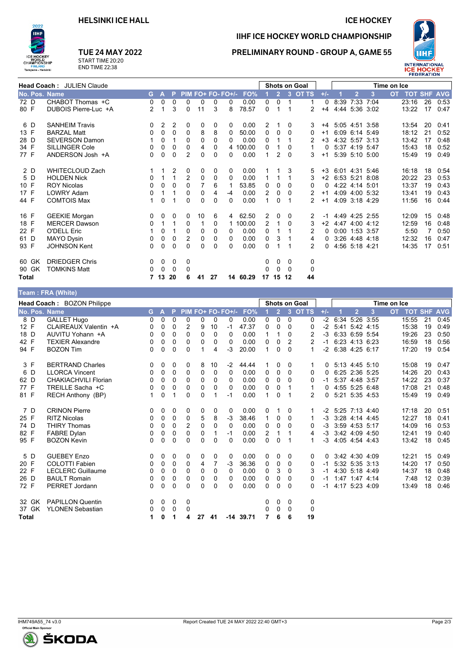#### **ICE HOCKEY**



## **TUE 24 MAY 2022**

START TIME 20:20<br>END TIME 22:38

## IIHF ICE HOCKEY WORLD CHAMPIONSHIP **PRELIMINARY ROUND - GROUP A, GAME 55**



| Head Coach: JULIEN Claude |                        |              |              |          |                |          |          |                   |          |                |                |          | Shots on Goal  |       | Time on Ice |                   |                |  |                |    |      |
|---------------------------|------------------------|--------------|--------------|----------|----------------|----------|----------|-------------------|----------|----------------|----------------|----------|----------------|-------|-------------|-------------------|----------------|--|----------------|----|------|
| No. Pos. Name             |                        | G.           | $\mathbf{A}$ | P.       |                |          |          | PIM FO+ FO- FO+/- | FO%      |                | 2 <sup>1</sup> |          | 3 OT TS        | $+/-$ |             | $\overline{2}$    | 3              |  | OT TOT SHF AVG |    |      |
| 72 D                      | CHABOT Thomas +C       | $\Omega$     | 0            | 0        | 0              | 0        | $\Omega$ | 0                 | 0.00     | 0              | $\Omega$       | 1        | 1              | 0     |             | 8:39 7:33         | 7:04           |  | 23:16          | 26 | 0:53 |
| 80 F                      | DUBOIS Pierre-Luc +A   | 2            |              | 3        | $\Omega$       | 11       | 3        | 8                 | 78.57    | $\Omega$       |                |          | $\overline{2}$ | $+4$  |             |                   | 4:44 5:36 3:02 |  | 13:22          | 17 | 0:47 |
| 6 D                       | <b>SANHEIM Travis</b>  | 0            | 2            | 2        | 0              | 0        | 0        | 0                 | 0.00     | 2              |                | 0        | 3              | $+4$  |             | 5:05 4:51 3:58    |                |  | 13:54          | 20 | 0:41 |
| 13 F                      | <b>BARZAL Matt</b>     | $\Omega$     | $\Omega$     | $\Omega$ | $\Omega$       | 8        | 8        | 0                 | 50.00    | $\Omega$       | $\Omega$       | $\Omega$ | 0              | $+1$  |             | 6:09 6:14 5:49    |                |  | 18:12          | 21 | 0:52 |
| 28 D                      | <b>SEVERSON Damon</b>  |              | 0            | 1        | 0              | 0        | $\Omega$ | 0                 | 0.00     | 0              |                |          |                | $+3$  |             | 4:32 5:57 3:13    |                |  | 13:42          | 17 | 0:48 |
| 34 F                      | <b>SILLINGER Cole</b>  | 0            | 0            | 0        | 0              | 4        | 0        |                   | 4 100.00 | 0              |                | 0        | 1              | 0     |             |                   | 5:37 4:19 5:47 |  | 15:43          | 18 | 0:52 |
| 77 F                      | ANDERSON Josh +A       | 0            | $\Omega$     | $\Omega$ | $\overline{2}$ | 0        | $\Omega$ | 0                 | 0.00     | 1              | 2              | $\Omega$ | 3              | $+1$  |             |                   | 5:39 5:10 5:00 |  | 15:49          | 19 | 0:49 |
| 2 D                       | <b>WHITECLOUD Zach</b> |              |              | 2        | 0              | 0        | 0        | 0                 | 0.00     |                |                | 3        | 5              | $+3$  |             | 6.01 4:31 5:46    |                |  | 16:18          | 18 | 0:54 |
| 5 D                       | <b>HOLDEN Nick</b>     | $\Omega$     |              | 1        | 2              | 0        | $\Omega$ | 0                 | 0.00     |                |                | 1        | 3              | $+2$  |             | 6:53 5:21 8:08    |                |  | 20:22          | 23 | 0:53 |
| 10 F                      | <b>ROY Nicolas</b>     | 0            | 0            | $\Omega$ | $\Omega$       |          | 6        |                   | 53.85    | 0              | 0              | 0        | 0              | 0     |             | 4:22 4:14 5:01    |                |  | 13:37          | 19 | 0:43 |
| 17 F                      | <b>LOWRY Adam</b>      | $\Omega$     | 1            | 1        | $\Omega$       | 0        | 4        | $-4$              | 0.00     | $\overline{2}$ | 0              | 0        | $\overline{2}$ | $+1$  |             | 4:09 4:00 5:32    |                |  | 13:41          | 19 | 0:43 |
| 44 F                      | <b>COMTOIS Max</b>     |              | $\Omega$     |          | $\Omega$       | $\Omega$ | $\Omega$ | 0                 | 0.00     | 1              | $\Omega$       |          | 2              | $+1$  |             |                   | 4:09 3:18 4:29 |  | 11:56          | 16 | 0:44 |
| 16 F                      | <b>GEEKIE Morgan</b>   | 0            | 0            | 0        | 0              | 10       | 6        | 4                 | 62.50    | 2              | 0              | 0        | 2              | $-1$  |             | 4 4 9 4 2 5 2 5 5 |                |  | 12:09          | 15 | 0:48 |
| 18 F                      | <b>MERCER Dawson</b>   | 0            |              | 1        | 0              | 1        | 0        |                   | 100.00   | 2              | 1              | 0        | 3              | $+2$  |             | 4.47 4:00 4:12    |                |  | 12:59          | 16 | 0.48 |
| 22 F                      | <b>O'DELL Eric</b>     |              | 0            |          | 0              | 0        | $\Omega$ | 0                 | 0.00     | 0              |                |          | 2              | 0     |             | $0:00$ 1:53 3:57  |                |  | 5:50           | 7  | 0:50 |
| 61 D                      | MAYO Dysin             | 0            | 0            | 0        | 2              | 0        | 0        | 0                 | 0.00     | 0              | 3              |          | 4              | 0     |             |                   | 3:26 4:48 4:18 |  | 12:32          | 16 | 0:47 |
| 93 F                      | <b>JOHNSON Kent</b>    | $\mathbf{0}$ | $\Omega$     | $\Omega$ | 0              | 0        | $\Omega$ | 0                 | 0.00     | 0              |                |          | 2              | 0     |             | 4:56 5:18 4:21    |                |  | 14:35          | 17 | 0:51 |
| 60 GK                     | <b>DRIEDGER Chris</b>  | 0            | $\mathbf 0$  | 0        | 0              |          |          |                   |          | 0              | 0              | 0        | 0              |       |             |                   |                |  |                |    |      |
| 90 GK                     | TOMKINS Matt           | 0            | 0            | 0        | 0              |          |          |                   |          | 0              | $\Omega$       | $\Omega$ | 0              |       |             |                   |                |  |                |    |      |
| <b>Total</b>              |                        |              | 13           | 20       | 6              | 41       | 27       |                   | 14 60.29 | 17             | 15 12          |          | 44             |       |             |                   |                |  |                |    |      |
|                           | Toam · FRA (White)     |              |              |          |                |          |          |                   |          |                |                |          |                |       |             |                   |                |  |                |    |      |

| Head Coach: BOZON Philippe |                             |          |   |   |             |    |          |                     |             |                | <b>Shots on Goal</b> |              |              |          |  | Time on Ice      |   |  |                |    |      |
|----------------------------|-----------------------------|----------|---|---|-------------|----|----------|---------------------|-------------|----------------|----------------------|--------------|--------------|----------|--|------------------|---|--|----------------|----|------|
| No. Pos. Name              |                             | G A      |   |   |             |    |          | P PIM FO+ FO- FO+/- | FO%         |                | 2 <sup>1</sup>       |              | 3 OT TS      | $+/-$    |  | $\overline{2}$   | 3 |  | OT TOT SHF AVG |    |      |
| 8 D                        | <b>GALLET Hugo</b>          | 0        | 0 | 0 | 0           | 0  | 0        | 0                   | 0.00        | 0              | $\Omega$             | $\Omega$     | 0            | $-2$     |  | 6:34 5:26 3:55   |   |  | 15:55          | 21 | 0:45 |
| 12 F                       | CLAIREAUX Valentin +A       | 0        | 0 | 0 | 2           | 9  | 10       | $-1$                | 47.37       | 0              | 0                    | $\Omega$     | 0            | $-2$     |  | 5:41 5:42 4:15   |   |  | 15:38          | 19 | 0:49 |
| 18 D                       | AUVITU Yohann +A            | 0        | 0 | 0 | 0           | 0  | $\Omega$ | 0                   | 0.00        |                |                      | 0            | 2            | $-3$     |  | 6.33 6.59 5.54   |   |  | 19:26          | 23 | 0:50 |
| 42 F                       | <b>TEXIER Alexandre</b>     | 0        | 0 | 0 | 0           | 0  | $\Omega$ | $\Omega$            | 0.00        | $\Omega$       | 0                    | 2            | 2            | $-1$     |  | 6.23 4.13 6.23   |   |  | 16:59          | 18 | 0:56 |
| 94 F                       | <b>BOZON Tim</b>            | 0        | 0 | 0 | $\Omega$    |    | 4        | -3                  | 20.00       | $\mathbf{1}$   | 0                    | $\Omega$     | $\mathbf{1}$ | $-2$     |  | 6:38 4:25 6:17   |   |  | 17:20          | 19 | 0:54 |
| 3 F                        | <b>BERTRAND Charles</b>     | 0        | 0 | 0 | 0           | 8  | 10       | $-2$                | 44.44       |                | 0                    | $\mathbf{0}$ |              | $\Omega$ |  | 5:13 4:45 5:10   |   |  | 15:08          | 19 | 0:47 |
| 6 D                        | <b>LLORCA Vincent</b>       | $\Omega$ | 0 | 0 | 0           | 0  | 0        | $\Omega$            | 0.00        | 0              | 0                    | $\Omega$     | 0            | 0        |  | 6:25 2:36 5:25   |   |  | 14:26          | 20 | 0:43 |
| 62 D                       | <b>CHAKIACHVILI Florian</b> | 0        | 0 | 0 | 0           | 0  | 0        | $\Omega$            | 0.00        | 0              | $\Omega$             | $\mathbf{0}$ | 0            | -1       |  | 5:37 4:48 3:57   |   |  | 14:22          | 23 | 0:37 |
| 77 F                       | TREILLE Sacha +C            | 0        | 0 | 0 | 0           | 0  | 0        | $\Omega$            | 0.00        | 0              | 0                    |              | 1            | 0        |  | 4:55 5:25 6:48   |   |  | 17:08          | 21 | 0:48 |
| 81 F                       | RECH Anthony (BP)           |          | 0 |   | $\Omega$    | 0  |          | $-1$                | 0.00        | $\mathbf{1}$   | $\Omega$             |              | 2            | 0        |  | 5:21 5:35 4:53   |   |  | 15:49          | 19 | 0:49 |
| 7 D                        | <b>CRINON Pierre</b>        | 0        | 0 | 0 | 0           | 0  | 0        | 0                   | 0.00        | 0              |                      | $\mathbf{0}$ |              | -2       |  | 5:25 7:13 4:40   |   |  | 17:18          | 20 | 0:51 |
| 25 F                       | <b>RITZ Nicolas</b>         | $\Omega$ | 0 | 0 | 0           | 5  | 8        | $-3$                | 38.46       | $\mathbf{1}$   | $\Omega$             | $\mathbf{0}$ | 1            | $-3$     |  | 3:28 4:14 4:45   |   |  | 12:27          | 18 | 0:41 |
| 74 D                       | <b>THIRY Thomas</b>         | 0        | 0 | 0 | 2           | 0  | 0        | $\Omega$            | 0.00        | 0              | 0                    | $\mathbf{0}$ | 0            | $-3$     |  | $3:59$ 4:53 5:17 |   |  | 14:09          | 16 | 0:53 |
| 82 F                       | <b>FABRE Dylan</b>          | 0        | 0 | 0 | $\Omega$    | 0  | 1        | $-1$                | 0.00        | $\overline{2}$ | 1                    |              | 4            | -3       |  | 3:42 4:09 4:50   |   |  | 12:41          | 19 | 0:40 |
| 95 F                       | <b>BOZON Kevin</b>          | 0        | 0 | 0 | $\Omega$    | 0  | $\Omega$ | $\Omega$            | 0.00        | $\Omega$       | $\Omega$             |              | $\mathbf{1}$ | -3       |  | 4:05 4:54 4:43   |   |  | 13:42          | 18 | 0:45 |
| 5 D                        | <b>GUEBEY Enzo</b>          | 0        | 0 | 0 | 0           | 0  | 0        | 0                   | 0.00        | 0              | 0                    | $\mathbf{0}$ | 0            | $\Omega$ |  | 3.42 4.30 4.09   |   |  | 12:21          | 15 | 0:49 |
| 20 F                       | <b>COLOTTI Fabien</b>       | 0        | 0 | 0 | 0           | 4  | 7        | $-3$                | 36.36       | 0              | 0                    | 0            | 0            | $-1$     |  | 5:32 5:35 3:13   |   |  | 14:20          | 17 | 0:50 |
| 22 F                       | <b>LECLERC Guillaume</b>    | 0        | 0 | 0 | $\mathbf 0$ | 0  | 0        | 0                   | 0.00        | 0              | 3                    | $\mathbf{0}$ | 3            | -1       |  | 4:30 5:18 4:49   |   |  | 14:37          | 18 | 0:48 |
| 26 D                       | <b>BAULT Romain</b>         | 0        | 0 | 0 | 0           | 0  | 0        | 0                   | 0.00        | 0              | 0                    | $\Omega$     | 0            | $-1$     |  | 1:47 1:47 4:14   |   |  | 7:48           | 12 | 0:39 |
| 72 F                       | <b>PERRET Jordann</b>       | 0        | 0 | 0 | $\Omega$    | 0  | 0        | 0                   | 0.00        | $\Omega$       | 0                    | $\Omega$     | 0            | $-1$     |  | 4:17 5:23 4:09   |   |  | 13:49          | 18 | 0:46 |
| 32 GK                      | <b>PAPILLON Quentin</b>     | 0        | 0 | 0 | 0           |    |          |                     |             | 0              | 0                    | $\Omega$     | 0            |          |  |                  |   |  |                |    |      |
| 37 GK                      | <b>YLONEN Sebastian</b>     | 0        | 0 | 0 | 0           |    |          |                     |             | 0              | 0                    | $\mathbf{0}$ | 0            |          |  |                  |   |  |                |    |      |
| Total                      |                             | 1        | 0 | 1 | 4           | 27 | 41       |                     | $-14$ 39.71 |                | 6                    | 6            | 19           |          |  |                  |   |  |                |    |      |